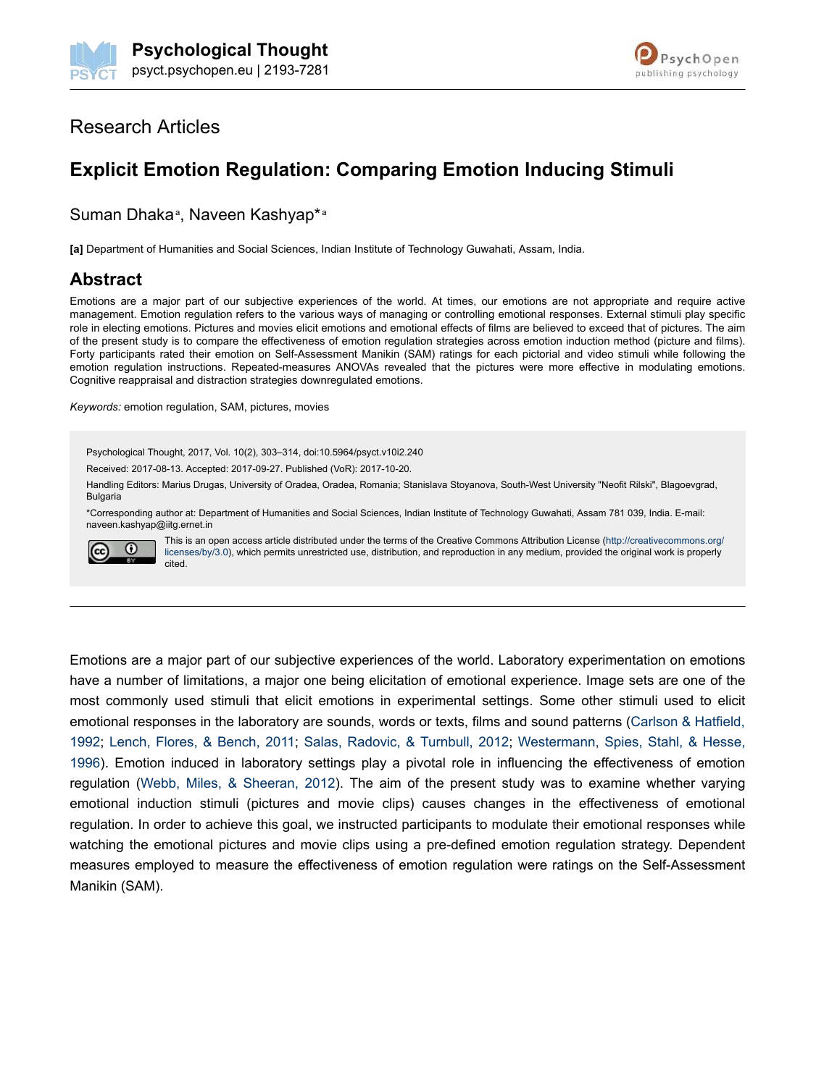



## Research Articles

# **Explicit Emotion Regulation: Comparing Emotion Inducing Stimuli**

Suman Dhaka<sup>a</sup>, Naveen Kashyap\*a

**[a]** Department of Humanities and Social Sciences, Indian Institute of Technology Guwahati, Assam, India.

### **Abstract**

Emotions are a major part of our subjective experiences of the world. At times, our emotions are not appropriate and require active management. Emotion regulation refers to the various ways of managing or controlling emotional responses. External stimuli play specific role in electing emotions. Pictures and movies elicit emotions and emotional effects of films are believed to exceed that of pictures. The aim of the present study is to compare the effectiveness of emotion regulation strategies across emotion induction method (picture and films). Forty participants rated their emotion on Self-Assessment Manikin (SAM) ratings for each pictorial and video stimuli while following the emotion regulation instructions. Repeated-measures ANOVAs revealed that the pictures were more effective in modulating emotions. Cognitive reappraisal and distraction strategies downregulated emotions.

*Keywords:* emotion regulation, SAM, pictures, movies

Psychological Thought, 2017, Vol. 10(2), 303–314, doi:10.5964/psyct.v10i2.240

Received: 2017-08-13. Accepted: 2017-09-27. Published (VoR): 2017-10-20.

Handling Editors: Marius Drugas, University of Oradea, Oradea, Romania; Stanislava Stoyanova, South-West University "Neofit Rilski", Blagoevgrad, **Bulgaria** 

\*Corresponding author at: Department of Humanities and Social Sciences, Indian Institute of Technology Guwahati, Assam 781 039, India. E-mail: naveen.kashyap@iitg.ernet.in



This is an open access article distributed under the terms of the Creative Commons Attribution License (http://creativecommons.org/ licenses/by/3.0), which permits unrestricted use, distribution, and reproduction in any medium, provided the original work is properly cited.

Emotions are a major part of our subjective experiences of the world. Laboratory experimentation on emotions have a number of limitations, a major one being elicitation of emotional experience. Image sets are one of the most commonly used stimuli that elicit emotions in experimental settings. Some other stimuli used to elicit emotional responses in the laboratory are sounds, words or texts, films and sound patterns (Carlson & Hatfield, 1992; Lench, Flores, & Bench, 2011; Salas, Radovic, & Turnbull, 2012; Westermann, Spies, Stahl, & Hesse, 1996). Emotion induced in laboratory settings play a pivotal role in influencing the effectiveness of emotion regulation (Webb, Miles, & Sheeran, 2012). The aim of the present study was to examine whether varying emotional induction stimuli (pictures and movie clips) causes changes in the effectiveness of emotional regulation. In order to achieve this goal, we instructed participants to modulate their emotional responses while watching the emotional pictures and movie clips using a pre-defined emotion regulation strategy. Dependent measures employed to measure the effectiveness of emotion regulation were ratings on the Self-Assessment Manikin (SAM).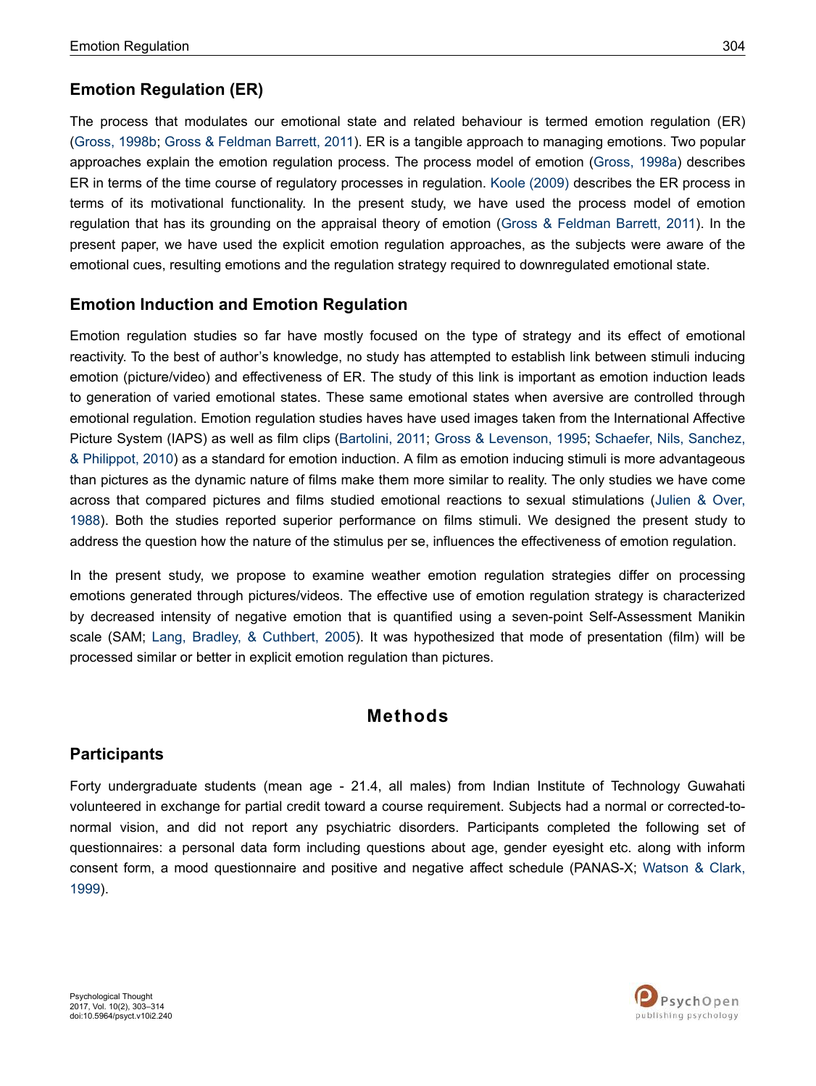### **Emotion Regulation (ER)**

The process that modulates our emotional state and related behaviour is termed emotion regulation (ER) (Gross, 1998b; Gross & Feldman Barrett, 2011). ER is a tangible approach to managing emotions. Two popular approaches explain the emotion regulation process. The process model of emotion (Gross, 1998a) describes ER in terms of the time course of regulatory processes in regulation. Koole (2009) describes the ER process in terms of its motivational functionality. In the present study, we have used the process model of emotion regulation that has its grounding on the appraisal theory of emotion (Gross & Feldman Barrett, 2011). In the present paper, we have used the explicit emotion regulation approaches, as the subjects were aware of the emotional cues, resulting emotions and the regulation strategy required to downregulated emotional state.

### **Emotion Induction and Emotion Regulation**

Emotion regulation studies so far have mostly focused on the type of strategy and its effect of emotional reactivity. To the best of author's knowledge, no study has attempted to establish link between stimuli inducing emotion (picture/video) and effectiveness of ER. The study of this link is important as emotion induction leads to generation of varied emotional states. These same emotional states when aversive are controlled through emotional regulation. Emotion regulation studies haves have used images taken from the International Affective Picture System (IAPS) as well as film clips (Bartolini, 2011; Gross & Levenson, 1995; Schaefer, Nils, Sanchez, & Philippot, 2010) as a standard for emotion induction. A film as emotion inducing stimuli is more advantageous than pictures as the dynamic nature of films make them more similar to reality. The only studies we have come across that compared pictures and films studied emotional reactions to sexual stimulations (Julien & Over, 1988). Both the studies reported superior performance on films stimuli. We designed the present study to address the question how the nature of the stimulus per se, influences the effectiveness of emotion regulation.

In the present study, we propose to examine weather emotion regulation strategies differ on processing emotions generated through pictures/videos. The effective use of emotion regulation strategy is characterized by decreased intensity of negative emotion that is quantified using a seven-point Self-Assessment Manikin scale (SAM; Lang, Bradley, & Cuthbert, 2005). It was hypothesized that mode of presentation (film) will be processed similar or better in explicit emotion regulation than pictures.

## **Methods**

### **Participants**

Forty undergraduate students (mean age - 21.4, all males) from Indian Institute of Technology Guwahati volunteered in exchange for partial credit toward a course requirement. Subjects had a normal or corrected-tonormal vision, and did not report any psychiatric disorders. Participants completed the following set of questionnaires: a personal data form including questions about age, gender eyesight etc. along with inform consent form, a mood questionnaire and positive and negative affect schedule (PANAS-X; Watson & Clark, 1999).

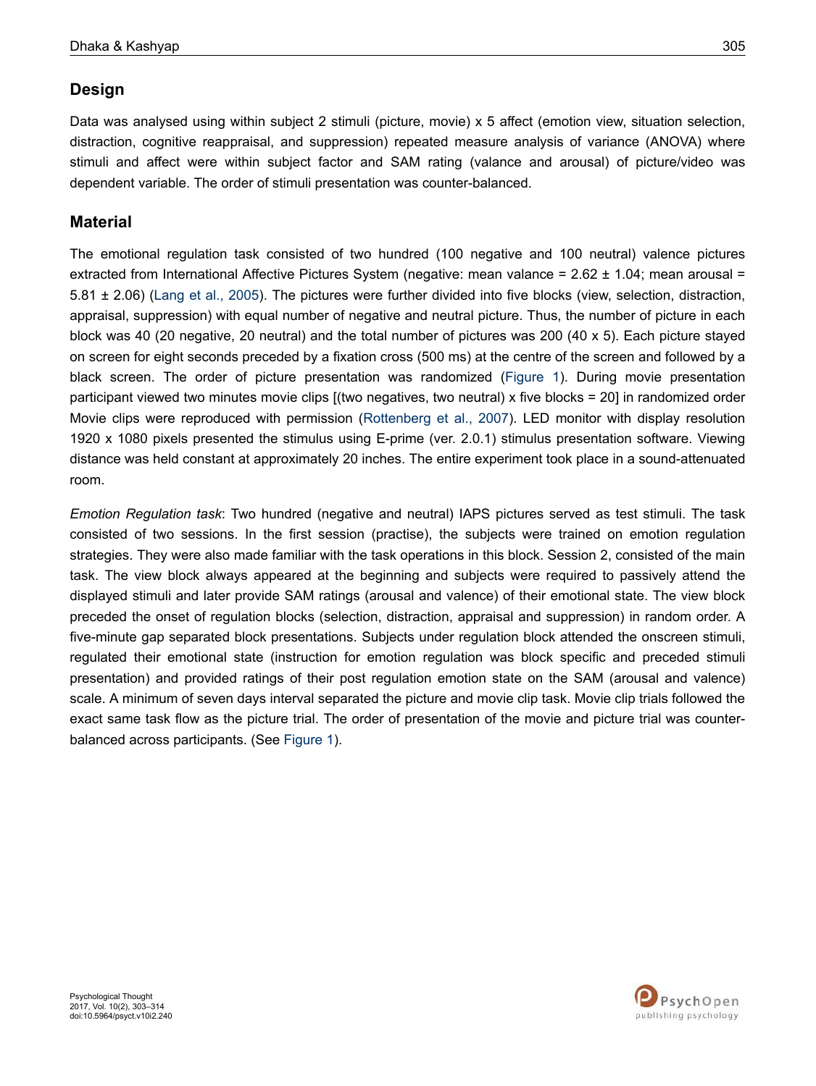## **Design**

Data was analysed using within subject 2 stimuli (picture, movie) x 5 affect (emotion view, situation selection, distraction, cognitive reappraisal, and suppression) repeated measure analysis of variance (ANOVA) where stimuli and affect were within subject factor and SAM rating (valance and arousal) of picture/video was dependent variable. The order of stimuli presentation was counter-balanced.

### **Material**

The emotional regulation task consisted of two hundred (100 negative and 100 neutral) valence pictures extracted from International Affective Pictures System (negative: mean valance = 2.62 ± 1.04; mean arousal = 5.81 ± 2.06) (Lang et al., 2005). The pictures were further divided into five blocks (view, selection, distraction, appraisal, suppression) with equal number of negative and neutral picture. Thus, the number of picture in each block was 40 (20 negative, 20 neutral) and the total number of pictures was 200 (40 x 5). Each picture stayed on screen for eight seconds preceded by a fixation cross (500 ms) at the centre of the screen and followed by a black screen. The order of picture presentation was randomized (Figure 1). During movie presentation participant viewed two minutes movie clips [(two negatives, two neutral) x five blocks = 20] in randomized order Movie clips were reproduced with permission (Rottenberg et al., 2007). LED monitor with display resolution 1920 x 1080 pixels presented the stimulus using E-prime (ver. 2.0.1) stimulus presentation software. Viewing distance was held constant at approximately 20 inches. The entire experiment took place in a sound-attenuated room.

*Emotion Regulation task*: Two hundred (negative and neutral) IAPS pictures served as test stimuli. The task consisted of two sessions. In the first session (practise), the subjects were trained on emotion regulation strategies. They were also made familiar with the task operations in this block. Session 2, consisted of the main task. The view block always appeared at the beginning and subjects were required to passively attend the displayed stimuli and later provide SAM ratings (arousal and valence) of their emotional state. The view block preceded the onset of regulation blocks (selection, distraction, appraisal and suppression) in random order. A five-minute gap separated block presentations. Subjects under regulation block attended the onscreen stimuli, regulated their emotional state (instruction for emotion regulation was block specific and preceded stimuli presentation) and provided ratings of their post regulation emotion state on the SAM (arousal and valence) scale. A minimum of seven days interval separated the picture and movie clip task. Movie clip trials followed the exact same task flow as the picture trial. The order of presentation of the movie and picture trial was counterbalanced across participants. (See Figure 1).

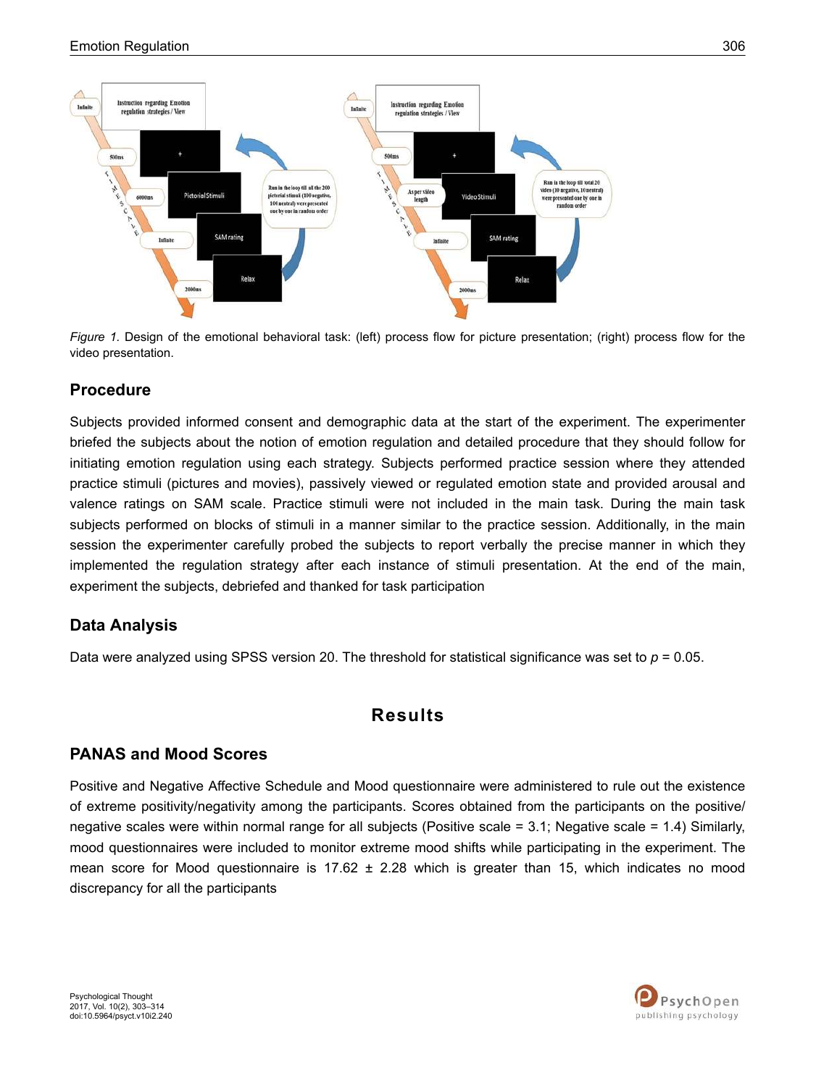

*Figure 1.* Design of the emotional behavioral task: (left) process flow for picture presentation; (right) process flow for the video presentation.

## **Procedure**

Subjects provided informed consent and demographic data at the start of the experiment. The experimenter briefed the subjects about the notion of emotion regulation and detailed procedure that they should follow for initiating emotion regulation using each strategy. Subjects performed practice session where they attended practice stimuli (pictures and movies), passively viewed or regulated emotion state and provided arousal and valence ratings on SAM scale. Practice stimuli were not included in the main task. During the main task subjects performed on blocks of stimuli in a manner similar to the practice session. Additionally, in the main session the experimenter carefully probed the subjects to report verbally the precise manner in which they implemented the regulation strategy after each instance of stimuli presentation. At the end of the main, experiment the subjects, debriefed and thanked for task participation

## **Data Analysis**

Data were analyzed using SPSS version 20. The threshold for statistical significance was set to  $p = 0.05$ .

## **Results**

## **PANAS and Mood Scores**

Positive and Negative Affective Schedule and Mood questionnaire were administered to rule out the existence of extreme positivity/negativity among the participants. Scores obtained from the participants on the positive/ negative scales were within normal range for all subjects (Positive scale = 3.1; Negative scale = 1.4) Similarly, mood questionnaires were included to monitor extreme mood shifts while participating in the experiment. The mean score for Mood questionnaire is  $17.62 \pm 2.28$  which is greater than 15, which indicates no mood discrepancy for all the participants

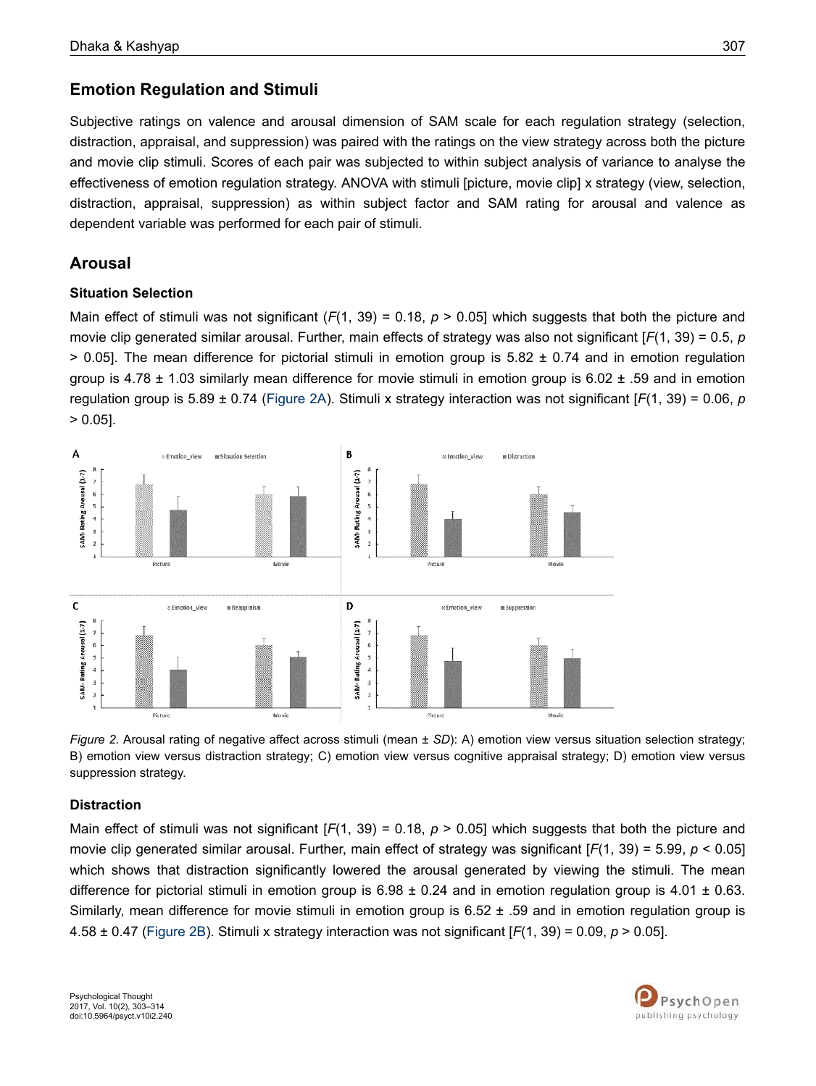### **Emotion Regulation and Stimuli**

Subjective ratings on valence and arousal dimension of SAM scale for each regulation strategy (selection, distraction, appraisal, and suppression) was paired with the ratings on the view strategy across both the picture and movie clip stimuli. Scores of each pair was subjected to within subject analysis of variance to analyse the effectiveness of emotion regulation strategy. ANOVA with stimuli [picture, movie clip] x strategy (view, selection, distraction, appraisal, suppression) as within subject factor and SAM rating for arousal and valence as dependent variable was performed for each pair of stimuli.

### **Arousal**

#### **Situation Selection**

Main effect of stimuli was not significant (*F*(1, 39) = 0.18, *p* > 0.05] which suggests that both the picture and movie clip generated similar arousal. Further, main effects of strategy was also not significant [*F*(1, 39) = 0.5, *p*  $> 0.05$ ]. The mean difference for pictorial stimuli in emotion group is 5.82  $\pm$  0.74 and in emotion regulation group is  $4.78 \pm 1.03$  similarly mean difference for movie stimuli in emotion group is  $6.02 \pm .59$  and in emotion regulation group is 5.89 ± 0.74 (Figure 2A). Stimuli x strategy interaction was not significant [*F*(1, 39) = 0.06, *p* > 0.05].



*Figure 2.* Arousal rating of negative affect across stimuli (mean ± *SD*): A) emotion view versus situation selection strategy; B) emotion view versus distraction strategy; C) emotion view versus cognitive appraisal strategy; D) emotion view versus suppression strategy.

### **Distraction**

Main effect of stimuli was not significant [*F*(1, 39) = 0.18, *p* > 0.05] which suggests that both the picture and movie clip generated similar arousal. Further, main effect of strategy was significant [*F*(1, 39) = 5.99, *p* < 0.05] which shows that distraction significantly lowered the arousal generated by viewing the stimuli. The mean difference for pictorial stimuli in emotion group is  $6.98 \pm 0.24$  and in emotion regulation group is 4.01  $\pm$  0.63. Similarly, mean difference for movie stimuli in emotion group is  $6.52 \pm .59$  and in emotion regulation group is 4.58 ± 0.47 (Figure 2B). Stimuli x strategy interaction was not significant [*F*(1, 39) = 0.09, *p* > 0.05].

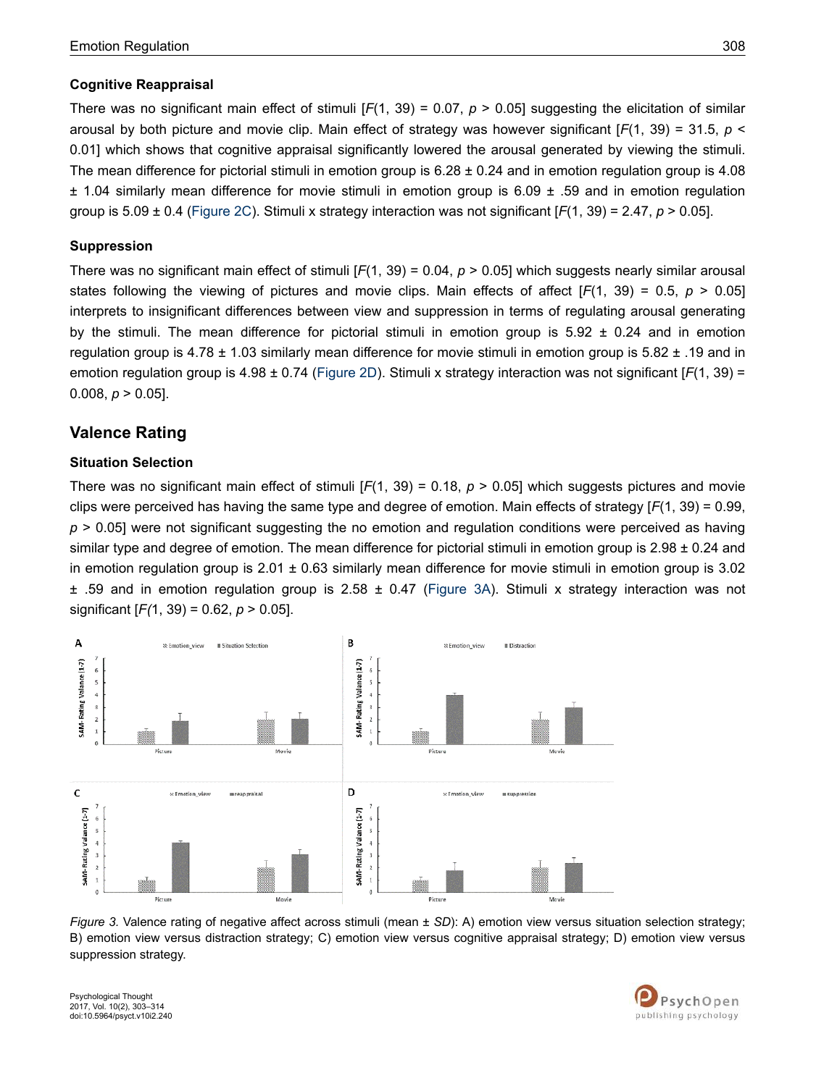#### **Cognitive Reappraisal**

There was no significant main effect of stimuli  $[F(1, 39) = 0.07, p > 0.05]$  suggesting the elicitation of similar arousal by both picture and movie clip. Main effect of strategy was however significant [*F*(1, 39) = 31.5, *p* < 0.01] which shows that cognitive appraisal significantly lowered the arousal generated by viewing the stimuli. The mean difference for pictorial stimuli in emotion group is  $6.28 \pm 0.24$  and in emotion regulation group is 4.08 ± 1.04 similarly mean difference for movie stimuli in emotion group is 6.09 ± .59 and in emotion regulation group is 5.09 ± 0.4 (Figure 2C). Stimuli x strategy interaction was not significant [*F*(1, 39) = 2.47, *p* > 0.05].

#### **Suppression**

There was no significant main effect of stimuli  $[F(1, 39) = 0.04, p > 0.05]$  which suggests nearly similar arousal states following the viewing of pictures and movie clips. Main effects of affect [F(1, 39) = 0.5, *p* > 0.05] interprets to insignificant differences between view and suppression in terms of regulating arousal generating by the stimuli. The mean difference for pictorial stimuli in emotion group is  $5.92 \pm 0.24$  and in emotion regulation group is 4.78 ± 1.03 similarly mean difference for movie stimuli in emotion group is 5.82 ± .19 and in emotion regulation group is 4.98 ± 0.74 (Figure 2D). Stimuli x strategy interaction was not significant [*F*(1, 39) = 0.008,  $p > 0.05$ ].

## **Valence Rating**

#### **Situation Selection**

There was no significant main effect of stimuli [*F*(1, 39) = 0.18, *p* > 0.05] which suggests pictures and movie clips were perceived has having the same type and degree of emotion. Main effects of strategy [*F*(1, 39) = 0.99, *p* > 0.05] were not significant suggesting the no emotion and regulation conditions were perceived as having similar type and degree of emotion. The mean difference for pictorial stimuli in emotion group is  $2.98 \pm 0.24$  and in emotion regulation group is  $2.01 \pm 0.63$  similarly mean difference for movie stimuli in emotion group is 3.02  $\pm$  .59 and in emotion regulation group is 2.58  $\pm$  0.47 (Figure 3A). Stimuli x strategy interaction was not significant [*F(*1, 39) = 0.62, *p* > 0.05].



*Figure 3.* Valence rating of negative affect across stimuli (mean ± *SD*): A) emotion view versus situation selection strategy; B) emotion view versus distraction strategy; C) emotion view versus cognitive appraisal strategy; D) emotion view versus suppression strategy.

Psychological Thought 2017, Vol. 10(2), 303–314 doi:10.5964/psyct.v10i2.240

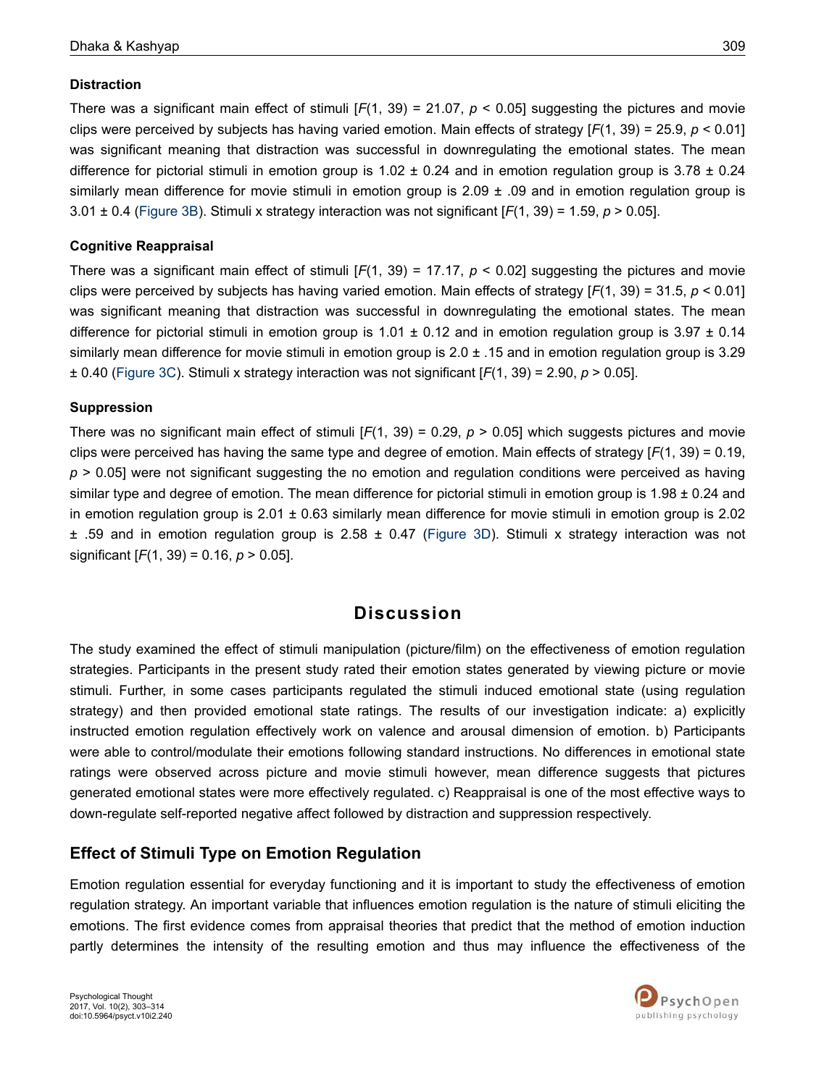#### **Distraction**

There was a significant main effect of stimuli [*F*(1, 39) = 21.07, *p* < 0.05] suggesting the pictures and movie clips were perceived by subjects has having varied emotion. Main effects of strategy [*F*(1, 39) = 25.9, *p* < 0.01] was significant meaning that distraction was successful in downregulating the emotional states. The mean difference for pictorial stimuli in emotion group is  $1.02 \pm 0.24$  and in emotion regulation group is  $3.78 \pm 0.24$ similarly mean difference for movie stimuli in emotion group is  $2.09 \pm .09$  and in emotion regulation group is 3.01 ± 0.4 (Figure 3B). Stimuli x strategy interaction was not significant [*F*(1, 39) = 1.59, *p* > 0.05].

#### **Cognitive Reappraisal**

There was a significant main effect of stimuli  $[F(1, 39) = 17.17, p < 0.02]$  suggesting the pictures and movie clips were perceived by subjects has having varied emotion. Main effects of strategy [*F*(1, 39) = 31.5, *p* < 0.01] was significant meaning that distraction was successful in downregulating the emotional states. The mean difference for pictorial stimuli in emotion group is  $1.01 \pm 0.12$  and in emotion regulation group is 3.97  $\pm$  0.14 similarly mean difference for movie stimuli in emotion group is 2.0 ± .15 and in emotion regulation group is 3.29 ± 0.40 (Figure 3C). Stimuli x strategy interaction was not significant [*F*(1, 39) = 2.90, *p* > 0.05].

#### **Suppression**

There was no significant main effect of stimuli [*F*(1, 39) = 0.29, *p* > 0.05] which suggests pictures and movie clips were perceived has having the same type and degree of emotion. Main effects of strategy [*F*(1, 39) = 0.19, *p* > 0.05] were not significant suggesting the no emotion and regulation conditions were perceived as having similar type and degree of emotion. The mean difference for pictorial stimuli in emotion group is  $1.98 \pm 0.24$  and in emotion regulation group is  $2.01 \pm 0.63$  similarly mean difference for movie stimuli in emotion group is  $2.02$  $\pm$  .59 and in emotion regulation group is 2.58  $\pm$  0.47 (Figure 3D). Stimuli x strategy interaction was not significant [*F*(1, 39) = 0.16, *p* > 0.05].

## **Discussion**

The study examined the effect of stimuli manipulation (picture/film) on the effectiveness of emotion regulation strategies. Participants in the present study rated their emotion states generated by viewing picture or movie stimuli. Further, in some cases participants regulated the stimuli induced emotional state (using regulation strategy) and then provided emotional state ratings. The results of our investigation indicate: a) explicitly instructed emotion regulation effectively work on valence and arousal dimension of emotion. b) Participants were able to control/modulate their emotions following standard instructions. No differences in emotional state ratings were observed across picture and movie stimuli however, mean difference suggests that pictures generated emotional states were more effectively regulated. c) Reappraisal is one of the most effective ways to down-regulate self-reported negative affect followed by distraction and suppression respectively.

## **Effect of Stimuli Type on Emotion Regulation**

Emotion regulation essential for everyday functioning and it is important to study the effectiveness of emotion regulation strategy. An important variable that influences emotion regulation is the nature of stimuli eliciting the emotions. The first evidence comes from appraisal theories that predict that the method of emotion induction partly determines the intensity of the resulting emotion and thus may influence the effectiveness of the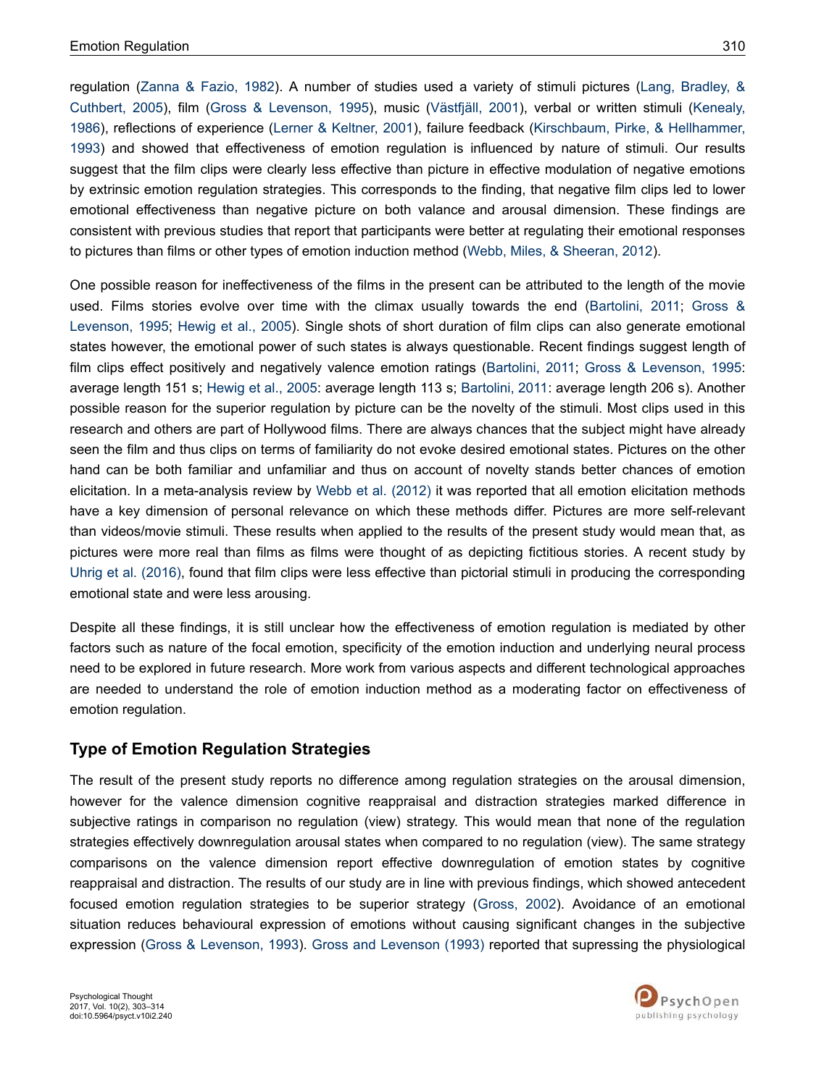regulation (Zanna & Fazio, 1982). A number of studies used a variety of stimuli pictures (Lang, Bradley, & Cuthbert, 2005), film (Gross & Levenson, 1995), music (Västfjäll, 2001), verbal or written stimuli (Kenealy, 1986), reflections of experience (Lerner & Keltner, 2001), failure feedback (Kirschbaum, Pirke, & Hellhammer, 1993) and showed that effectiveness of emotion regulation is influenced by nature of stimuli. Our results suggest that the film clips were clearly less effective than picture in effective modulation of negative emotions by extrinsic emotion regulation strategies. This corresponds to the finding, that negative film clips led to lower emotional effectiveness than negative picture on both valance and arousal dimension. These findings are consistent with previous studies that report that participants were better at regulating their emotional responses to pictures than films or other types of emotion induction method (Webb, Miles, & Sheeran, 2012).

One possible reason for ineffectiveness of the films in the present can be attributed to the length of the movie used. Films stories evolve over time with the climax usually towards the end (Bartolini, 2011; Gross & Levenson, 1995; Hewig et al., 2005). Single shots of short duration of film clips can also generate emotional states however, the emotional power of such states is always questionable. Recent findings suggest length of film clips effect positively and negatively valence emotion ratings (Bartolini, 2011; Gross & Levenson, 1995: average length 151 s; Hewig et al., 2005: average length 113 s; Bartolini, 2011: average length 206 s). Another possible reason for the superior regulation by picture can be the novelty of the stimuli. Most clips used in this research and others are part of Hollywood films. There are always chances that the subject might have already seen the film and thus clips on terms of familiarity do not evoke desired emotional states. Pictures on the other hand can be both familiar and unfamiliar and thus on account of novelty stands better chances of emotion elicitation. In a meta-analysis review by Webb et al. (2012) it was reported that all emotion elicitation methods have a key dimension of personal relevance on which these methods differ. Pictures are more self-relevant than videos/movie stimuli. These results when applied to the results of the present study would mean that, as pictures were more real than films as films were thought of as depicting fictitious stories. A recent study by Uhrig et al. (2016), found that film clips were less effective than pictorial stimuli in producing the corresponding emotional state and were less arousing.

Despite all these findings, it is still unclear how the effectiveness of emotion regulation is mediated by other factors such as nature of the focal emotion, specificity of the emotion induction and underlying neural process need to be explored in future research. More work from various aspects and different technological approaches are needed to understand the role of emotion induction method as a moderating factor on effectiveness of emotion regulation.

### **Type of Emotion Regulation Strategies**

The result of the present study reports no difference among regulation strategies on the arousal dimension, however for the valence dimension cognitive reappraisal and distraction strategies marked difference in subjective ratings in comparison no regulation (view) strategy. This would mean that none of the regulation strategies effectively downregulation arousal states when compared to no regulation (view). The same strategy comparisons on the valence dimension report effective downregulation of emotion states by cognitive reappraisal and distraction. The results of our study are in line with previous findings, which showed antecedent focused emotion regulation strategies to be superior strategy (Gross, 2002). Avoidance of an emotional situation reduces behavioural expression of emotions without causing significant changes in the subjective expression (Gross & Levenson, 1993). Gross and Levenson (1993) reported that supressing the physiological

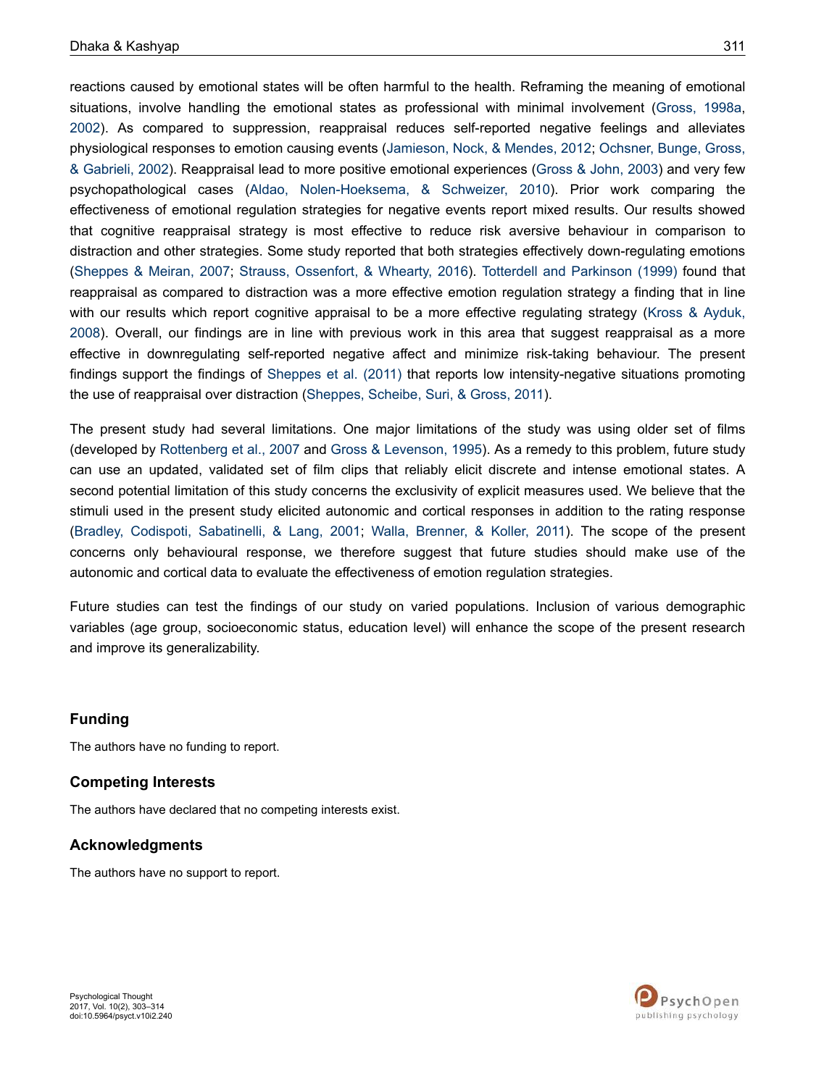reactions caused by emotional states will be often harmful to the health. Reframing the meaning of emotional situations, involve handling the emotional states as professional with minimal involvement (Gross, 1998a, 2002). As compared to suppression, reappraisal reduces self-reported negative feelings and alleviates physiological responses to emotion causing events (Jamieson, Nock, & Mendes, 2012; Ochsner, Bunge, Gross, & Gabrieli, 2002). Reappraisal lead to more positive emotional experiences (Gross & John, 2003) and very few psychopathological cases (Aldao, Nolen-Hoeksema, & Schweizer, 2010). Prior work comparing the effectiveness of emotional regulation strategies for negative events report mixed results. Our results showed that cognitive reappraisal strategy is most effective to reduce risk aversive behaviour in comparison to distraction and other strategies. Some study reported that both strategies effectively down-regulating emotions (Sheppes & Meiran, 2007; Strauss, Ossenfort, & Whearty, 2016). Totterdell and Parkinson (1999) found that reappraisal as compared to distraction was a more effective emotion regulation strategy a finding that in line with our results which report cognitive appraisal to be a more effective regulating strategy (Kross & Ayduk, 2008). Overall, our findings are in line with previous work in this area that suggest reappraisal as a more effective in downregulating self-reported negative affect and minimize risk-taking behaviour. The present findings support the findings of Sheppes et al. (2011) that reports low intensity-negative situations promoting the use of reappraisal over distraction (Sheppes, Scheibe, Suri, & Gross, 2011).

The present study had several limitations. One major limitations of the study was using older set of films (developed by Rottenberg et al., 2007 and Gross & Levenson, 1995). As a remedy to this problem, future study can use an updated, validated set of film clips that reliably elicit discrete and intense emotional states. A second potential limitation of this study concerns the exclusivity of explicit measures used. We believe that the stimuli used in the present study elicited autonomic and cortical responses in addition to the rating response (Bradley, Codispoti, Sabatinelli, & Lang, 2001; Walla, Brenner, & Koller, 2011). The scope of the present concerns only behavioural response, we therefore suggest that future studies should make use of the autonomic and cortical data to evaluate the effectiveness of emotion regulation strategies.

Future studies can test the findings of our study on varied populations. Inclusion of various demographic variables (age group, socioeconomic status, education level) will enhance the scope of the present research and improve its generalizability.

#### **Funding**

The authors have no funding to report.

#### **Competing Interests**

The authors have declared that no competing interests exist.

#### **Acknowledgments**

The authors have no support to report.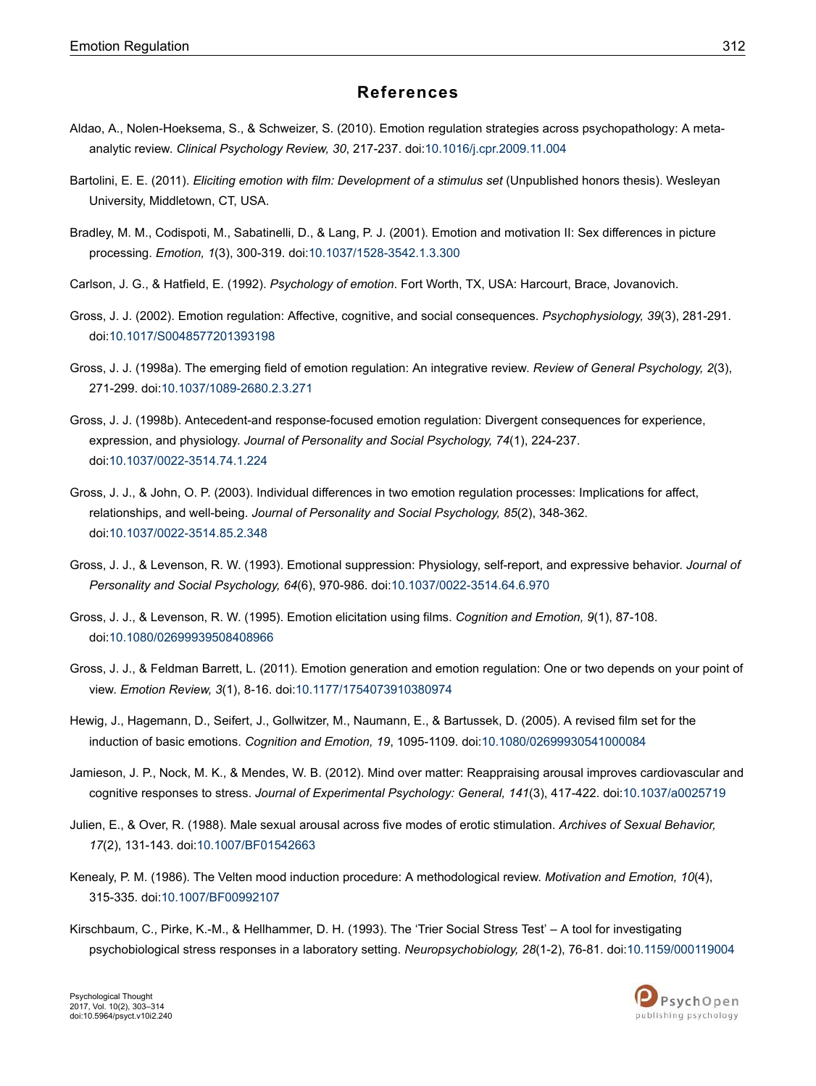### **References**

- Aldao, A., Nolen-Hoeksema, S., & Schweizer, S. (2010). Emotion regulation strategies across psychopathology: A metaanalytic review. *Clinical Psychology Review, 30*, 217-237. doi:10.1016/j.cpr.2009.11.004
- Bartolini, E. E. (2011). *Eliciting emotion with film: Development of a stimulus set* (Unpublished honors thesis). Wesleyan University, Middletown, CT, USA.
- Bradley, M. M., Codispoti, M., Sabatinelli, D., & Lang, P. J. (2001). Emotion and motivation II: Sex differences in picture processing. *Emotion, 1*(3), 300-319. doi:10.1037/1528-3542.1.3.300
- Carlson, J. G., & Hatfield, E. (1992). *Psychology of emotion*. Fort Worth, TX, USA: Harcourt, Brace, Jovanovich.
- Gross, J. J. (2002). Emotion regulation: Affective, cognitive, and social consequences. *Psychophysiology, 39*(3), 281-291. doi:10.1017/S0048577201393198
- Gross, J. J. (1998a). The emerging field of emotion regulation: An integrative review. *Review of General Psychology, 2*(3), 271-299. doi:10.1037/1089-2680.2.3.271
- Gross, J. J. (1998b). Antecedent-and response-focused emotion regulation: Divergent consequences for experience, expression, and physiology. *Journal of Personality and Social Psychology, 74*(1), 224-237. doi:10.1037/0022-3514.74.1.224
- Gross, J. J., & John, O. P. (2003). Individual differences in two emotion regulation processes: Implications for affect, relationships, and well-being. *Journal of Personality and Social Psychology, 85*(2), 348-362. doi:10.1037/0022-3514.85.2.348
- Gross, J. J., & Levenson, R. W. (1993). Emotional suppression: Physiology, self-report, and expressive behavior. *Journal of Personality and Social Psychology, 64*(6), 970-986. doi:10.1037/0022-3514.64.6.970
- Gross, J. J., & Levenson, R. W. (1995). Emotion elicitation using films. *Cognition and Emotion, 9*(1), 87-108. doi:10.1080/02699939508408966
- Gross, J. J., & Feldman Barrett, L. (2011). Emotion generation and emotion regulation: One or two depends on your point of view. *Emotion Review, 3*(1), 8-16. doi:10.1177/1754073910380974
- Hewig, J., Hagemann, D., Seifert, J., Gollwitzer, M., Naumann, E., & Bartussek, D. (2005). A revised film set for the induction of basic emotions. *Cognition and Emotion, 19*, 1095-1109. doi:10.1080/02699930541000084
- Jamieson, J. P., Nock, M. K., & Mendes, W. B. (2012). Mind over matter: Reappraising arousal improves cardiovascular and cognitive responses to stress. *Journal of Experimental Psychology: General, 141*(3), 417-422. doi:10.1037/a0025719
- Julien, E., & Over, R. (1988). Male sexual arousal across five modes of erotic stimulation. *Archives of Sexual Behavior, 17*(2), 131-143. doi:10.1007/BF01542663
- Kenealy, P. M. (1986). The Velten mood induction procedure: A methodological review. *Motivation and Emotion, 10*(4), 315-335. doi:10.1007/BF00992107
- Kirschbaum, C., Pirke, K.-M., & Hellhammer, D. H. (1993). The 'Trier Social Stress Test' A tool for investigating psychobiological stress responses in a laboratory setting. *Neuropsychobiology, 28*(1-2), 76-81. doi:10.1159/000119004

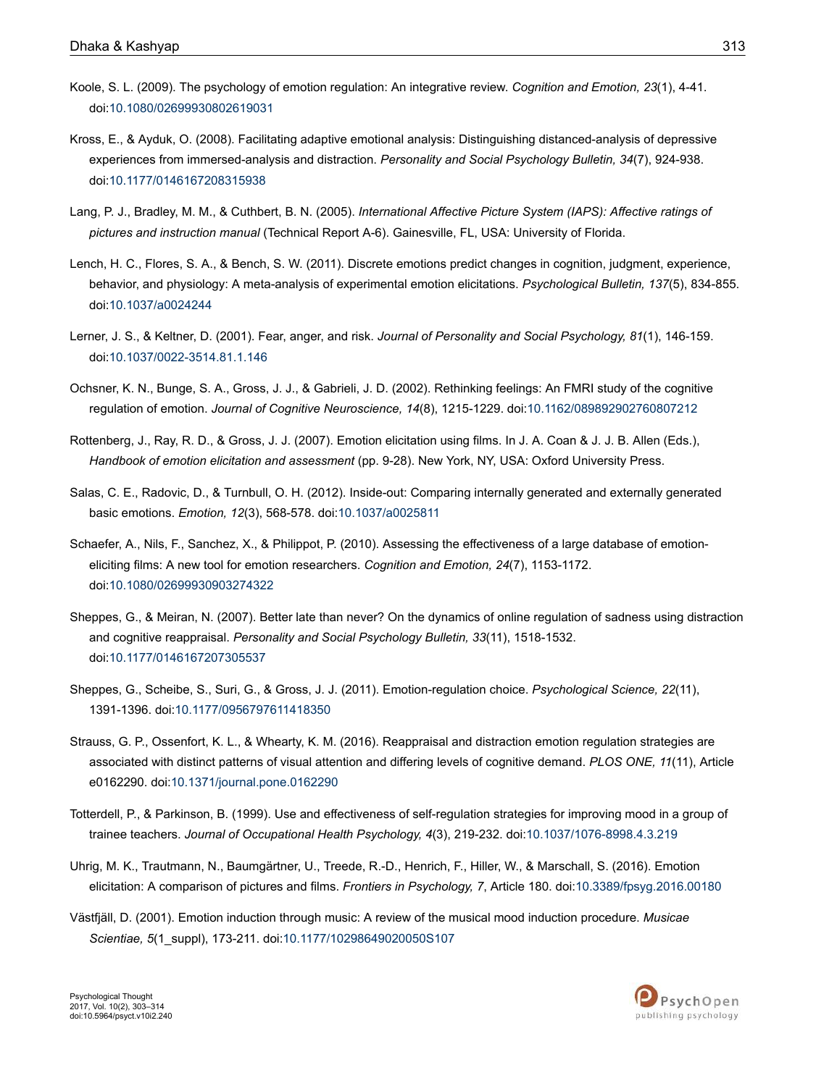- Koole, S. L. (2009). The psychology of emotion regulation: An integrative review. *Cognition and Emotion, 23*(1), 4-41. doi:10.1080/02699930802619031
- Kross, E., & Ayduk, O. (2008). Facilitating adaptive emotional analysis: Distinguishing distanced-analysis of depressive experiences from immersed-analysis and distraction. *Personality and Social Psychology Bulletin, 34*(7), 924-938. doi:10.1177/0146167208315938
- Lang, P. J., Bradley, M. M., & Cuthbert, B. N. (2005). *International Affective Picture System (IAPS): Affective ratings of pictures and instruction manual* (Technical Report A-6). Gainesville, FL, USA: University of Florida.
- Lench, H. C., Flores, S. A., & Bench, S. W. (2011). Discrete emotions predict changes in cognition, judgment, experience, behavior, and physiology: A meta-analysis of experimental emotion elicitations. *Psychological Bulletin, 137*(5), 834-855. doi:10.1037/a0024244
- Lerner, J. S., & Keltner, D. (2001). Fear, anger, and risk. *Journal of Personality and Social Psychology, 81*(1), 146-159. doi:10.1037/0022-3514.81.1.146
- Ochsner, K. N., Bunge, S. A., Gross, J. J., & Gabrieli, J. D. (2002). Rethinking feelings: An FMRI study of the cognitive regulation of emotion. *Journal of Cognitive Neuroscience, 14*(8), 1215-1229. doi:10.1162/089892902760807212
- Rottenberg, J., Ray, R. D., & Gross, J. J. (2007). Emotion elicitation using films. In J. A. Coan & J. J. B. Allen (Eds.), *Handbook of emotion elicitation and assessment* (pp. 9-28). New York, NY, USA: Oxford University Press.
- Salas, C. E., Radovic, D., & Turnbull, O. H. (2012). Inside-out: Comparing internally generated and externally generated basic emotions. *Emotion, 12*(3), 568-578. doi:10.1037/a0025811
- Schaefer, A., Nils, F., Sanchez, X., & Philippot, P. (2010). Assessing the effectiveness of a large database of emotioneliciting films: A new tool for emotion researchers. *Cognition and Emotion, 24*(7), 1153-1172. doi:10.1080/02699930903274322
- Sheppes, G., & Meiran, N. (2007). Better late than never? On the dynamics of online regulation of sadness using distraction and cognitive reappraisal. *Personality and Social Psychology Bulletin, 33*(11), 1518-1532. doi:10.1177/0146167207305537
- Sheppes, G., Scheibe, S., Suri, G., & Gross, J. J. (2011). Emotion-regulation choice. *Psychological Science, 22*(11), 1391-1396. doi:10.1177/0956797611418350
- Strauss, G. P., Ossenfort, K. L., & Whearty, K. M. (2016). Reappraisal and distraction emotion regulation strategies are associated with distinct patterns of visual attention and differing levels of cognitive demand. *PLOS ONE, 11*(11), Article e0162290. doi:10.1371/journal.pone.0162290
- Totterdell, P., & Parkinson, B. (1999). Use and effectiveness of self-regulation strategies for improving mood in a group of trainee teachers. *Journal of Occupational Health Psychology, 4*(3), 219-232. doi:10.1037/1076-8998.4.3.219
- Uhrig, M. K., Trautmann, N., Baumgärtner, U., Treede, R.-D., Henrich, F., Hiller, W., & Marschall, S. (2016). Emotion elicitation: A comparison of pictures and films. *Frontiers in Psychology, 7*, Article 180. doi:10.3389/fpsyg.2016.00180
- Västfjäll, D. (2001). Emotion induction through music: A review of the musical mood induction procedure. *Musicae Scientiae, 5*(1\_suppl), 173-211. doi:10.1177/10298649020050S107